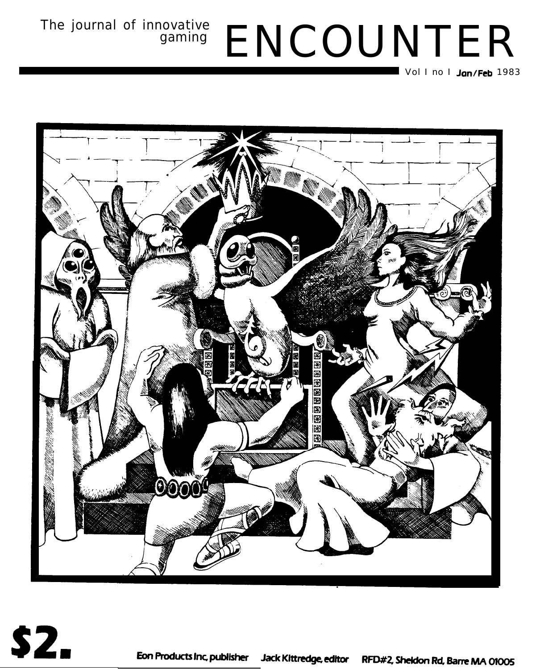# The journal of innovative<br>gaming ENCOUNTER

 $\blacksquare$  Vol I no I **Jan/Feb** 1983

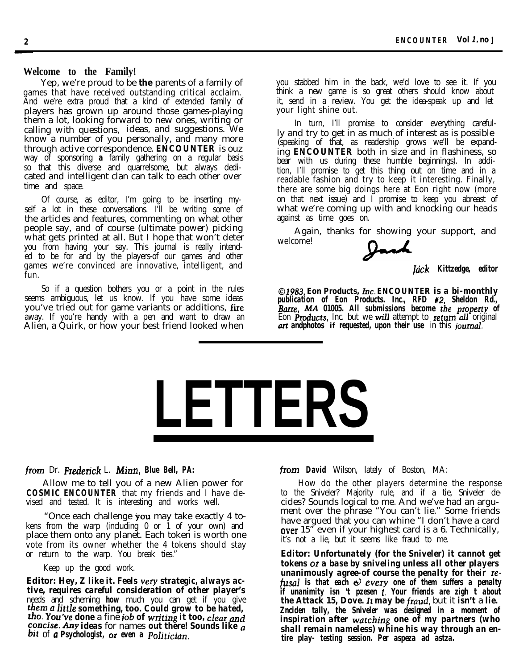### **Welcome to the Family!**

Yep, we're proud to be **the** parents of a family of games that have received outstanding critical acclaim. And we're extra proud that a kind of extended family of players has grown up around those games-playing them a lot, looking forward to new ones, writing or calling with questions, ideas, and suggestions. We know a number of you personally, and many more through active correspondence. *ENCOUNTER* is ouz way of sponsoring **a** family gathering on a regular basis so that this diverse and quarrelsome, but always dedicated and intelligent clan can talk to each other over time and space.

Of course, as editor, I'm going to be inserting myself a lot in these conversations. I'll be writing some of the articles and features, commenting on what other people say, and of course (ultimate power) picking what gets printed at all. But I hope that won't deter you from having your say. This journal is really intended to be for and by the players-of our games and other games we're convinced are innovative, intelligent, and fun.

So if a question bothers you or a point in the rules seems ambiguous, let us know. If you have some ideas you've tried out for game variants or additions, fire away. If you're handy with a pen and want to draw an Alien, a Quirk, or how your best friend looked when

you stabbed him in the back, we'd love to see it. If you think a new game is so great others should know about it, send in a review. You get the idea-speak up and let your light shine out.

In turn, I'll promise to consider everything carefully and try to get in as much of interest as is possible  $(p^{\text{c}})$  (speaking of that, as readership grows we'll be expanding *ENCOUNTER* both in size and in flashiness, so bear with us during these humble beginnings). In addition, I'll promise to get this thing out on time and in a readable fashion and try to keep it interesting. Finally, there are some big doings here at Eon right now (more on that next issue) and I promise to keep you abreast of what we're coming up with and knocking our heads against as time goes on.

Again, thanks for showing your support, and welcome!

*[tick Kittzedge, editor*

*01983, Eon Products, Inc. ENCOUNTER is a bi-monthly publication of Eon Products. Inc., RFD #2, Sheldon Rd., Barre, MA 01005. All submissions become the property of* Eon Products, Inc. but we will attempt to return all original *azt andphotos* **if** *requested, upon their use* in this jouznal.

# **LETTERS**

### *from* Dr. Fzedezick L. *Minn, Blue Bell, PA:*

Allow me to tell you of a new Alien power for **COSMIC ENCOUNTER** that my friends and I have devised and tested. It is interesting and works well.

"Once each challenge you may take exactly 4 tokens from the warp (including 0 or 1 of your own) and place them onto any planet. Each token is worth one vote from its owner whether the 4 tokens should stay or return to the warp. You break ties."

Keep up the good work.

**Editor:** *Hey, Z like it. Feels very strategic, always active, requires careful consideration of other player's* needs and scheming *how* much you can get if you give *them <sup>a</sup> little something, too. Could grow to be hated,* rho. you've *done* a fine *job of whiting it too, clear and concise. Any ideas* for names *out there! Sounds like a bit* of *a Psychologist, or even a Politician.*

*from David* Wilson, lately of Boston, MA:

How do the other players determine the response to the Sniveler? Majority rule, and if a tie, Sniveler decides? Sounds logical to me. And we've had an argument over the phrase "You can't lie." Some friends have argued that you can whine "I don't have a card **over** 15<sup>"</sup> even if your highest card is a 6. Technically, it's not a lie, but it seems like fraud to me.

**Editor:** *Unfortunately (for the Sniveler) it cannot get tokens or a base by sniveling unless all other players unanimously agree-of course the penalty for their zefusal is that each d every one of them suffers a penalty if unanimity isn 't pzesen t. Your friends are zigh t about the Attack 15, Dove. It may be* fraud, but it *isn't* a *lie. Znciden tally, the Sniveler was designed in a moment of inspiration after wutching one of my partners (who shall remain nameless) whine his way through an entire play- testing session. Per aspeza ad astza.*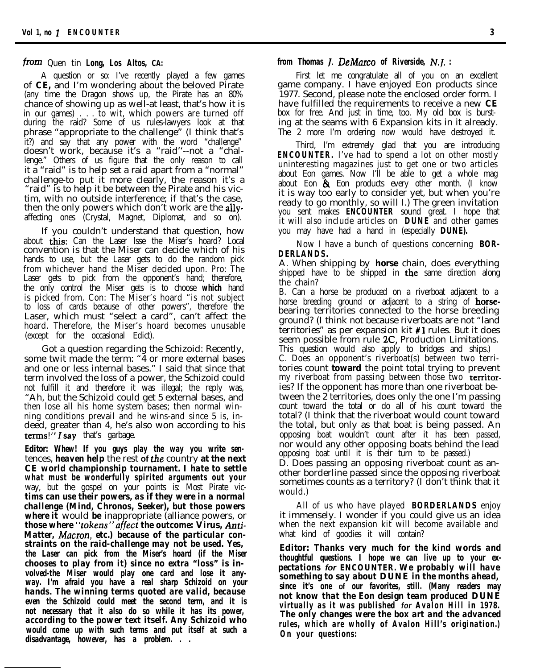### from Quen tin *Long, Los Altos, CA:*

A question or so: I've recently played a few games of **CE,** and I'm wondering about the beloved Pirate (any time the Dragon shows up, the Pirate has an 80% chance of showing up as well-at least, that's how it is in our games) . . . to wit, which powers are turned off during the raid? Some of us rules-lawyers look at that phrase "appropriate to the challenge" (I think that's it?) and say that any power with the word "challenge" doesn't work, because it's a "raid''--not a "challenge." Others of us figure that the only reason to call it a "raid" is to help set a raid apart from a "normal" challenge-to put it more clearly, the reason it's a "raid" is to help it be between the Pirate and his victim, with no outside interference; if that's the case, then the only powers which don't work are the **ally**affecting ones (Crystal, Magnet, Diplomat, and so on).

If you couldn't understand that question, how about this: Can the Laser lsse the Miser's hoard? Local convention is that the Miser can decide which of his hands to use, but the Laser gets to do the random pick from whichever hand the Miser decided upon. Pro: The Laser gets to pick from the opponent's hand; therefore, the only control the Miser gets is to choose *which* hand is picked from. Con: The Miser's hoard "is not subject to loss of cards because of other powers", therefore the Laser, which must "select a card", can't affect the hoard. Therefore, the Miser's hoard becomes unusable (except for the occasional Edict).

Got a question regarding the Schizoid: Recently, some twit made the term: "4 or more external bases and one or less internal bases." I said that since that term involved the loss of a power, the Schizoid could not fulfill it and therefore it was illegal; the reply was, "Ah, but the Schizoid could get 5 external bases, and then lose all his home system bases; then normal winning conditions prevail and he wins-and since 5 is, indeed, greater than 4, he's also won according to his terms!" $I$  say that's garbage.

**Editor:** *Whew! If you guys play the way you write sen*tences, *heaven help* the rest **of** the country **at the next CE** *world championship tournament. I hate to settle what must be wonderfully spirited arguments out your* way, but the gospel on your points is: Most Pirate vic*tims can use their powers, as if they were in a normal challenge (Mind, Chronos, Seeker), but those powers where it* would *be* inappropriate (alliance powers, or *those where "tokens"affect the outcome:* **Virus,** *Anti-*Matter, *Macron, etc.*) because of the particular con*straints on the raid-challenge may not be used. Yes, the Laser can pick from the Miser's hoard (if the Miser chooses to play from it) since no extra "loss" is involved-the* **Miser** *would play one card and lose it anyway. I'm afraid you have a real sharp Schizoid on your hands. The winning terms quoted are valid, because even the Schizoid could meet the second term, and it is not necessary that it also do so while it has its power, according to the power text itself. Any Schizoid who would come up with such terms and put itself at such a disadvantage, however, has a problem. . .*

### *from Thomas I. DeMarco of Riverside, N.I. :*

First let me congratulate all of you on an excellent game company. I have enjoyed Eon products since 1977. Second, please note the enclosed order form. I have fulfilled the requirements to receive a new **CE** box for free. And just in time, too. My old box is bursting at the seams with 6 Expansion kits in it already. The 2 more I'm ordering now would have destroyed it.

Third, I'm extremely glad that you are introducing *ENCOUNTER.* I've had to spend a lot on other mostly uninteresting magazines just to get one or two articles about Eon games. Now I'll be able to get a whole mag about Eon & Eon products every other month. (I know it is way too early to consider yet, but when you're ready to go monthly, so will I.) The green invitation you sent makes *ENCOUNTER* sound great. I hope that it will also include articles on **DUNE** and other games you may have had a hand in (especially **DUNE).**

Now I have a bunch of questions concerning **BOR-DERLANDS.**

A. When shipping by **horse** chain, does everything shipped have to be shipped in **the** same direction along the chain?

B. Can a horse be produced on a riverboat adjacent to a horse breeding ground or adjacent to a string of **horse**bearing territories connected to the horse breeding ground? (I think not because riverboats are not "land territories" as per expansion kit #l rules. But it does seem possible from rule 2C, Production Limitations. This question would also apply to bridges and ships.)

C. Does an opponent's riverboat(s) between two territories count **toward** the point total trying to prevent my riverboat from passing between those two territories? If the opponent has more than one riverboat between the 2 territories, does only the one I'm passing count toward the total or do all of his count toward the total? (I think that the riverboat would count toward the total, but only as that boat is being passed. An opposing boat wouldn't count after it has been passed, nor would any other opposing boats behind the lead opposing boat until it is their turn to be passed.)

D. Does passing an opposing riverboat count as another borderline passed since the opposing riverboat sometimes counts as a territory? (I don't think that it would.)

All of us who have played **BORDERLANDS** enjoy it immensely. I wonder if you could give us an idea when the next expansion kit will become available and what kind of goodies it will contain?

**Editor:** *Thanks very much for the kind words and thoughtful questions. I hope we can live up to your expectations for ENCOUNTER. We probably will have something to say about* **DUNE** *in the months ahead, since it's one* **of** *our favorites, still. (Many readers may not know that the Eon design team produced* **DUNE** *virtually as it was published for Avalon Hill in 1978. The only changes were the box art and the advanced rules, which are wholly of Avalon Hill's origination.) On your questions:*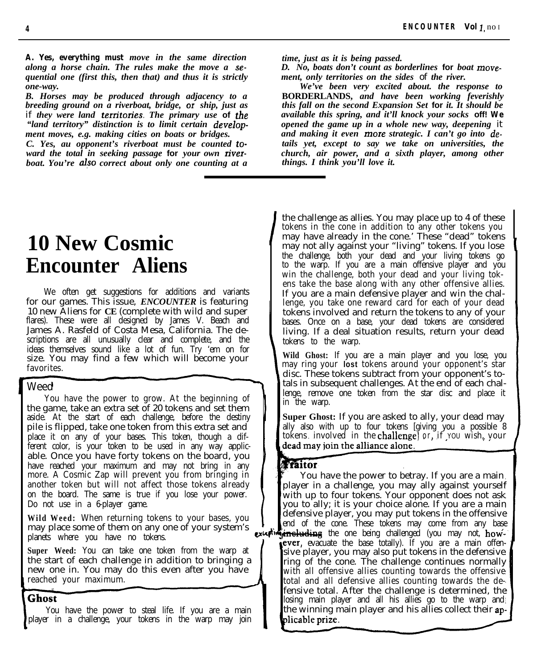*A. Yes, everything must move in the same direction time, just as it is being passed. along a horse chain. The rules make the move a se- D. No, boats don't count as borderlines* **for** *boat movequential one (first this, then that) and thus it is strictly ment, only territories on the sides* of *the river. one-way. We've been very excited about. the response to*

*B. Horses may be produced through adjacency to a* **BORDERLANDS,** *and have been working feverishly breeding ground on a riverboat, bridge, or ship, just as* if *they were land tern'tories. The primary use* **of** *the available this spring, and it'll knock your socks* **off!** *We "land territory" distinction is to limit certain develop- opened the game up in a whole new way, deepening* it

*ward the total in seeking passage* **for** *your own river- church, air power, and a* sixth *boat. You're also correct about only one counting at a* straings. I think you'll love it. *boat. You're also correct about only one counting at a* 

ment moves, e.g. making cities on boats or bridges.<br>
C. Yes, au opponent's riverboat must be counted to-<br> *and making it even more strategic. I can't go into de-Cails yet, except to say we take on universities, the church, air power, and a sixth player, among other* 

### **10 New Cosmic Encounter Aliens**

We often get suggestions for additions and variants for our games. This issue, *ENCOUNTER* is featuring 10 new Aliens for **CE** (complete with wild and super flares). These were all designed by James V. Beach and James A. Rasfeld of Costa Mesa, California. The descriptions are all unusually clear and complete, and the ideas themselves sound like a lot of fun. Try 'em on for size. You may find a few which will become your favorites.

### Weed

You have the power to grow. At the beginning of the game, take an extra set of 20 tokens and set them aside. At the start of each challenge, before the destiny pile is flipped, take one token from this extra set and place it on any of your bases. This token, though a different color, is your token to be used in any way applicable. Once you have forty tokens on the board, you have reached your maximum and may not bring in any more. A Cosmic Zap will prevent you from bringing in another token but will not affect those tokens already on the board. The same is true if you lose your power. Do not use in a 6-player game.

**Wild Weed:** When returning tokens to your bases, you may place some of them on any one of your system's planets where you have no tokens.

**Super Weed:** You can take one token from the warp at the start of each challenge in addition to bringing a new one in. You may do this even after you have reached your maximum.

### **Ghost**

You have the power to steal life. If you are a main player in a challenge, your tokens in the warp may join

the challenge as allies. You may place up to 4 of these tokens in the cone in addition to any other tokens you may have already in the cone.' These "dead" tokens may not ally against your "living" tokens. If you lose the challenge, both your dead and your living tokens go to the warp. If you are a main offensive player and you win the challenge, both your dead and your living tokens take the base along with any other offensive allies. If you are a main defensive player and win the challenge, you take one reward card for each of your dead tokens involved and return the tokens to any of your bases. Once on a base, your dead tokens are considered living. If a deal situation results, return your dead tokens to the warp.

**Wild Ghost:** If you are a main player and you lose, you may ring your **lost** tokens around your opponent's star disc. These tokens subtract from your opponent's totals in subsequent challenges. At the end of each challenge, remove one token from the star disc and place it in the warp.

**Super Ghost:** If you are asked to ally, your dead may ally also with up to four tokens [giving you a possible 8 tokens involved in the challenge) or, if you wish, your dead may join the alliance alone.

### Taitor

You have the power to betray. If you are a main player in a challenge, you may ally against yourself with up to four tokens. Your opponent does not ask you to ally; it is your choice alone. If you are a main you to al<br>defensive<br>end of th<br>**including**<br>**ever**, eva defensive player, you may put tokens in the offensive end of the cone. These tokens may come from any base the one being challenged (you may not, **how ever**, evacuate the base totally). If you are a main offensive player, you may also put tokens in the defensive ring of the cone. The challenge continues normally with all offensive allies counting towards the offensive total and all defensive allies counting towards the defensive total. After the challenge is determined, the losing main player and all his allies go to the warp and the winning main player and his allies collect their applicable prize.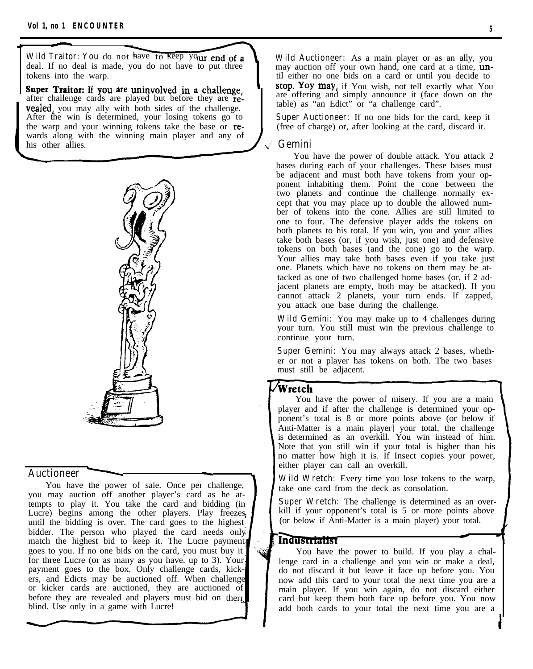Wild Traitor: You do not have to keep your end of a deal. If no deal is made, you do not have to put three tokens into the warp.

after challenge cards are played but before they are offering and simply announce it (face down on the table) as "an Edict" or "a challenge card". **vealed**, you may ally with both sides of the challenge. After the win is determined, your losing tokens go to the warp and your winning tokens take the base or rewards along with the winning main player and any of his other allies. **I,, Gemini**



**Auctioneer**<br>
You have the power<br>
you may auction off and You have the power of sale. Once per challenge, you may auction off another player's card as he attempts to play it. You take the card and bidding (in Lucre) begins among the other players. Play freezes, until the bidding is over. The card goes to the highest bidder. The person who played the card needs only match the highest bid to keep it. The Lucre payment goes to you. If no one bids on the card, you must buy it for three Lucre (or as many as you have, up to 3). Your payment goes to the box. Only challenge cards, kickers, and Edicts may be auctioned off. When challenge or kicker cards are auctioned, they are auctioned of before they are revealed and players must bid on therrblind. Use only in a game with Lucre!

**-**

**Wild Auctioneer:** As a main player or as an ally, you may auction off your own hand, one card at a time, **un**til either no one bids on a card or until you decide to Super Traitor: If you are uninvolved in a challenge,  $\begin{bmatrix} \text{stop. You may, if You wish, not tell exactly what You can show that } \text{posterior of the context.} \end{bmatrix}$ 

> **Super Auctioneer:** If no one bids for the card, keep it (free of charge) or, after looking at the card, discard it.

You have the power of double attack. You attack 2 bases during each of your challenges. These bases must be adjacent and must both have tokens from your opponent inhabiting them. Point the cone between the two planets and continue the challenge normally except that you may place up to double the allowed number of tokens into the cone. Allies are still limited to one to four. The defensive player adds the tokens on both planets to his total. If you win, you and your allies take both bases (or, if you wish, just one) and defensive tokens on both bases (and the cone) go to the warp. Your allies may take both bases even if you take just one. Planets which have no tokens on them may be attacked as one of two challenged home bases (or, if 2 adjacent planets are empty, both may be attacked). If you cannot attack 2 planets, your turn ends. If zapped, you attack one base during the challenge.

**Wild Gemini:** You may make up to 4 challenges during your turn. You still must win the previous challenge to continue your turn.

**Super Gemini:** You may always attack 2 bases, whether or not a player has tokens on both. The two bases must still be adjacent.

### Wretch

You have the power of misery. If you are a main player and if after the challenge is determined your opponent's total is 8 or more points above (or below if Anti-Matter is a main player] your total, the challenge is determined as an overkill. You win instead of him. Note that you still win if your total is higher than his no matter how high it is. If Insect copies your power, either player can call an overkill.

**Wild Wretch:** Every time you lose tokens to the warp, take one card from the deck as consolation.

**Super Wretch:** The challenge is determined as an overkill if your opponent's total is 5 or more points above (or below if Anti-Matter is a main player) your total. d

### Industrialist

You have the power to build. If you play a challenge card in a challenge and you win or make a deal, do not discard it but leave it face up before you. You now add this card to your total the next time you are a main player. If you win again, do not discard either card but keep them both face up before you. You now add both cards to your total the next time you are a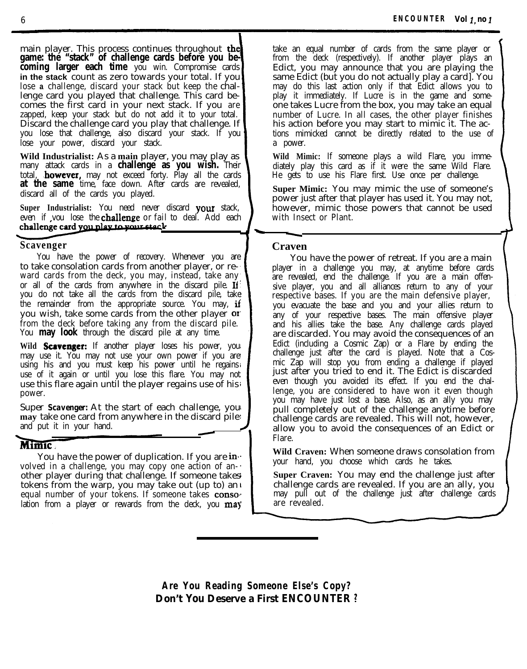main player. This process continues throughout the **game: the "stack" of challenge cards before you becoming larger each time** you win. Compromise cards **in the stack** count as zero towards your total. If you lose **a** challenge, discard your stack but keep the challenge card you played that challenge. This card becomes the first card in your next stack. If you are zapped, keep your stack but do not add it to your total. Discard the challenge card you play that challenge. If you lose that challenge, also discard your stack. If you lose your power, discard your stack.

**Wild Industrialist:** As a **main** player, you may play as many attack cards in a **challenge as you wish.** Their total, **however**, may not exceed forty. Play all the cards **at the same** time, face down. After cards are revealed, discard all of the cards you played.

**Super Industrialist:** You need never discard your stack, even if you lose the **challenge** or fail to deal. Add each challenge card you nlay to your stack

### **Scavenger**

You have the power of recovery. Whenever you are to take consolation cards from another player, or reward cards from the deck, you may, instead, take any or all of the cards from anywhere in the discard pile. If you do not take all the cards from the discard pile, take the remainder from the appropriate source. You may, if you wish, take some cards from the other player or from the deck before taking any from the discard pile. You **may look** through the discard pile at any time.

Wild **Scavenger:** If another player loses his power, you! may use it. You may not use your own power if you are using his and you must keep his power until he regains use of it again or until you lose this flare. You may not use this flare again until the player regains use of his power.

Super *Scavenger:* At the start of each challenge, you **may** take one card from anywhere in the discard pile and put it in your hand. eng<br>scal<br>**-**

### **Mimic**

You have the power of duplication. If you are  $\mathbf{in}$ . volved in a challenge, you may copy one action of another player during that challenge. If someone takes tokens from the warp, you may take out (up to) an equal number of your tokens. If someone takes conse lation from a player or rewards from the deck, you  $\max$ 

take an equal number of cards from the same player or from the deck (respectively). If another player plays an Edict, you may announce that you are playing the same Edict (but you do not actually play a card). You may do this last action only if that Edict allows you to play it immediately. If Lucre is in the game and someone takes Lucre from the box, you may take an equal number of Lucre. In all cases, the other player finishes his action before you may start to mimic it. The actions mimicked cannot be directly related to the use of a power.

**Wild Mimic:** If someone plays a wild Flare, you immediately play this card as if it were the same Wild Flare. He gets to use his Flare first. Use once per challenge.

**Super Mimic:** You may mimic the use of someone's power just after that player has used it. You may not, however, mimic those powers that cannot be used<br>with Insect or Plant. with Insect or Plant.

### **Craven**

C

You have the power of retreat. If you are a main player in a challenge you may, at anytime before cards are revealed, end the challenge. If you are a main offensive player, you and all alliances return to any of your respective bases. If you are the main defensive player, you evacuate the base and you and your allies return to any of your respective bases. The main offensive player and his allies take the base. Any challenge cards played are discarded. You may avoid the consequences of an Edict (including a Cosmic Zap) or a Flare by ending the challenge just after the card is played. Note that a Cosmic Zap will stop you from ending a challenge if played just after you tried to end it. The Edict is discarded even though you avoided its effect. If you end the challenge, you are considered to have won it even though you may have just lost a base. Also, as an ally you may pull completely out of the challenge anytime before challenge cards are revealed. This will not, however, allow you to avoid the consequences of an Edict or Flare.

**Wild Craven:** When someone draws consolation from your hand, you choose which cards he takes.

**Super Craven:** You may end the challenge just after challenge cards are revealed. If you are an ally, you may pull out of the challenge just after challenge cards are revealed.

**Are You Reading Someone Else's Copy? Don't** *You* **Deserve a First** *ENCOUNTER ?*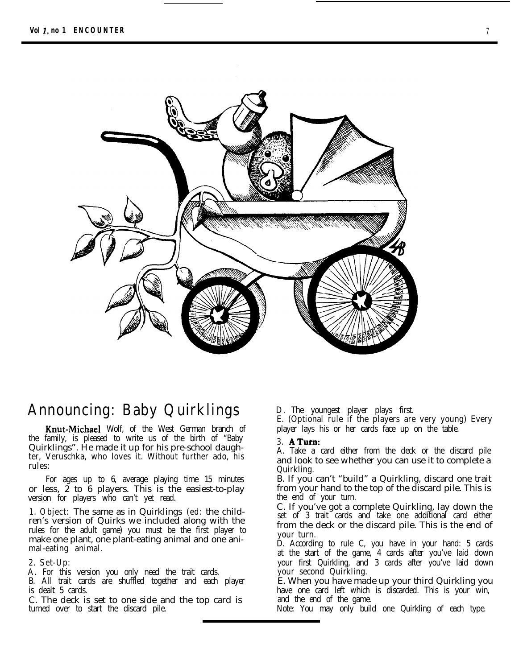

### **Announcing: Baby Quirklings**

Knut-Michael Wolf, of the West German branch of the family, is pleased to write us of the birth of "Baby Quirklings". He made it up for his pre-school daughter, Veruschka, who loves it. Without further ado, his rules:

For ages up to 6, average playing time 15 minutes or less,  $\tilde{z}$  to  $\tilde{6}$  players. This is the easiest-to-play version for players who can't yet read.

**1. Object:** The same as in Quirklings **(ed:** the children's version of Quirks we included along with the rules for the adult game) you must be the first player to make one plant, one plant-eating animal and one animal-eating animal.

#### **2. Set-Up:**

A. For this version you only need the trait cards.

B. All trait cards are shuffled together and each player is dealt 5 cards.

C. The deck is set to one side and the top card is turned over to start the discard pile.

D. The youngest player plays first.

E. (Optional rule if the players are very young) Every player lays his or her cards face up on the table.

### **3. ATum:**

A. Take a card either from the deck or the discard pile and look to see whether you can use it to complete a Quirkling.

B. If you can't "build" a Quirkling, discard one trait from your hand to the top of the discard pile. This is the end of your turn.

C. If you've got a complete Quirkling, lay down the set of 3 trait cards and take one additional card either from the deck or the discard pile. This is the end of your turn.

D. According to rule C, you have in your hand: 5 cards at the start of the game, 4 cards after you've laid down your first Quirkling, and 3 cards after you've laid down your second Quirkling.

E. When you have made up your third Quirkling you have one card left which is discarded. This is your win, and the end of the game.

Note: You may only build one Quirkling of each type.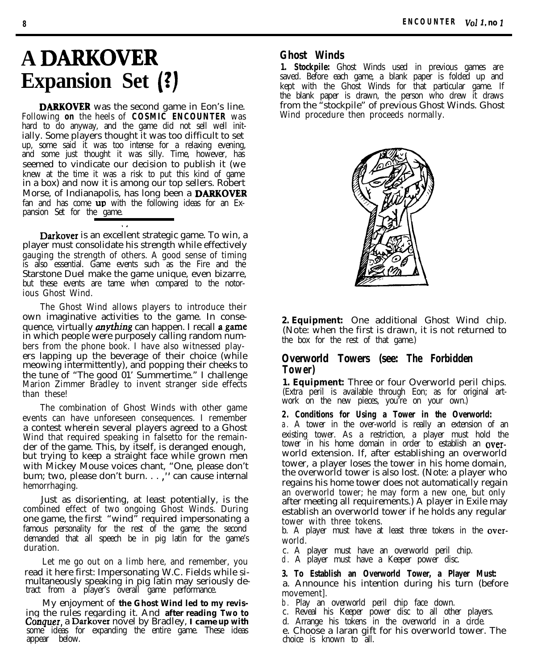## **A DARKOVER Expansion Set (?)**

**DARKOVER** was the second game in Eon's line. Following **on** the heels of **COSMIC ENCOUNTER** was hard to do anyway, and the game did not sell well initially. Some players thought it was too difficult to set up, some said it was too intense for a relaxing evening, and some just thought it was silly. Time, however, has seemed to vindicate our decision to publish it (we knew at the time it was a risk to put this kind of game in a box) and now it is among our top sellers. Robert Morse, of Indianapolis, has long been a **DARKOVER** fan and has come  $\mathbf{u} \mathbf{p}$  with the following ideas for an Expansion Set for the game.

Darkover is an excellent strategic game. To win, a player must consolidate his strength while effectively gauging the strength of others. A good sense of timing is also essential. Game events such as the Fire and the Starstone Duel make the game unique, even bizarre, but these events are tame when compared to the notorious Ghost Wind.

. .

The Ghost Wind allows players to introduce their own imaginative activities to the game. In consequence, virtually *anything* can happen. I recall a game in which people were purposely calling random numbers from the phone book. I have also witnessed players lapping up the beverage of their choice (while meowing intermittently), and popping their cheeks to the tune of "The good 01' Summertime." I challenge Marion Zimmer Bradley to invent stranger side effects than these!

The combination of Ghost Winds with other game events can have unforeseen consequences. I remember a contest wherein several players agreed to a Ghost Wind that required speaking in falsetto for the remainder of the game. This, by itself, is deranged enough, but trying to keep a straight face while grown men with Mickey Mouse voices chant, "One, please don't bum; two, please don't burn. . . ," can cause internal hemorrhaging.

Just as disorienting, at least potentially, is the combined effect of two ongoing Ghost Winds. During one game, the first "wind" required impersonating a famous personality for the rest of the game; the second demanded that all speech be in pig latin for the game's duration.

Let me go out on a limb here, and remember, you read it here first: Impersonating W.C. Fields while simultaneously speaking in pig latin may seriously detract from a player's overall game performance.

My enjoyment of **the Ghost Wind led to my revis**ing the rules regarding it. And **after reading** *Two to Conquer,* a Darkover novel by Bradley, **I came up with** some ideas for expanding the entire game. These ideas appear below.

### **Ghost Winds**

**1. Stockpile:** Ghost Winds used in previous games are saved. Before each game, a blank paper is folded up and kept with the Ghost Winds for that particular game. If the blank paper is drawn, the person who drew it draws from the "stockpile" of previous Ghost Winds. Ghost Wind procedure then proceeds normally.



**2. Equipment:** One additional Ghost Wind chip. (Note: when the first is drawn, it is not returned to the box for the rest of that game.)

### **Overworld Towers (see:** *The Forbidden Tower)*

**1. Equipment:** Three or four Overworld peril chips. (Extra peril is available through Eon; as for original artwork on the new pieces, you're on your own.)

**2. Conditions for Using a Tower in the Overworld:** a . A tower in the over-world is really an extension of an existing tower. As a restriction, a player must hold the tower in his home domain in order to establish an **over**world extension. If, after establishing an overworld tower, a player loses the tower in his home domain, the overworld tower is also lost. (Note: a player who regains his home tower does not automatically regain an overworld tower; he may form a new one, but only after meeting all requirements.) A player in Exile may establish an overworld tower if he holds any regular tower with three tokens.

b. A player must have at least three tokens in the overworld.

- c. A player must have an overworld peril chip.
- d . A player must have a Keeper power disc.

### **3. To Establish an Overworld Tower, a Player Must:**

a. Announce his intention during his turn (before movement].

- b . Play an overworld peril chip face down.
- c. Reveal his Keeper power disc to all other players.
- d. Arrange his tokens in the overworld in a circle.

e. Choose a laran gift for his overworld tower. The choice is known to all.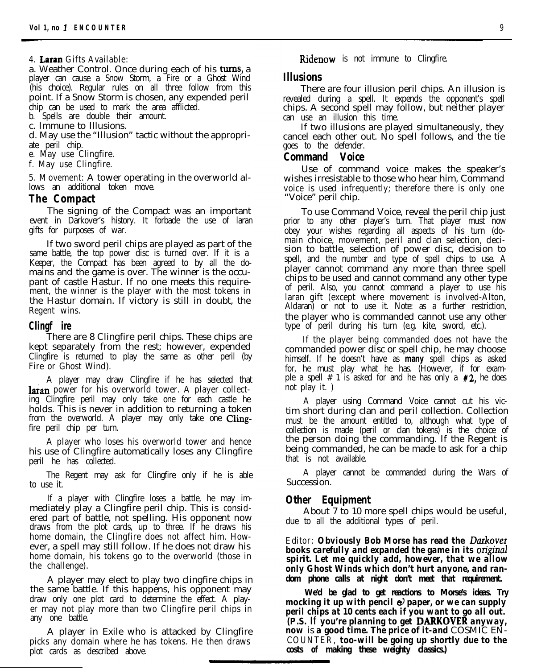### **4. Latan Gifts Available:**

a. Weather Control. Once during each of his turns, a player can cause a Snow Storm, a Fire or a Ghost Wind (his choice). Regular rules on all three follow from this point. If a Snow Storm is chosen, any expended peril chip can be used to mark the area afflicted.

b. Spells are double their amount.

c. Immune to Illusions.

d. May use the "Illusion" tactic without the appropriate peril chip.

e. May use Clingfire.

f. May use Clingfire.

**5. Movement:** A tower operating in the overworld allows an additional token move.

### **The Compact**

The signing of the Compact was an important event in Darkover's history. It forbade the use of laran gifts for purposes of war.

If two sword peril chips are played as part of the same battle, the top power disc is turned over. If it is a Keeper, the Compact has been agreed to by all the domains and the game is over. The winner is the occupant of castle Hastur. If no one meets this requirement, the winner is the player with the most tokens in the Hastur domain. If victory is still in doubt, the Regent wins.

### **Clingf ire**

There are 8 Clingfire peril chips. These chips are kept separately from the rest; however, expended Clingfire is returned to play the same as other peril (by Fire or Ghost Wind).

A player may draw Clingfire if he has selected that **laran** power for his overworld tower. A player collecting Clingfire peril may only take one for each castle he holds. This is never in addition to returning a token from the overworld. A player may only take one Clingfire peril chip per turn.

A player who loses his overworld tower and hence his use of Clingfire automatically loses any Clingfire peril he has collected.

The Regent may ask for Clingfire only if he is able to use it.

If a player with Clingfire loses a battle, he may immediately play a Clingfire peril chip. This is considered part of battle, not spelling. His opponent now draws from the plot cards, up to three. If he draws his home domain, the Clingfire does not affect him. However, a spell may still follow. If he does not draw his home domain, his tokens go to the overworld (those in the challenge).

A player may elect to play two clingfire chips in the same battle. If this happens, his opponent may draw only one plot card to determine the effect. A player may not play more than two Clingfire peril chips in any one battle.

A player in Exile who is attacked by Clingfire picks any domain where he has tokens. He then draws plot cards as described above.

Ridenow is not immune to Clingfire.

### **Illusions**

There are four illusion peril chips. An illusion is revealed during a spell. It expends the opponent's spell chips. A second spell may follow, but neither player can use an illusion this time.

If two illusions are played simultaneously, they cancel each other out. No spell follows, and the tie goes to the defender.

### **Command Voice**

Use of command voice makes the speaker's wishes irresistable to those who hear him, Command voice is used infrequently; therefore there is only one "Voice" peril chip.

To use Command Voice, reveal the peril chip just prior to any other player's turn. That player must now obey your wishes regarding all aspects of his turn (domain choice, movement, peril and clan selection, decision to battle, selection of power disc, decision to spell, and the number and type of spell chips to use. A player cannot command any more than three spell chips to be used and cannot command any other type of peril. Also, you cannot command a player to use his laran gift (except where movement is involved-Alton, Aldaran) or not to use it. Note: as a further restriction, the player who is commanded cannot use any other type of peril during his turn (e.g. kite, sword, etc.).

If the player being commanded does not have the commanded power disc or spell chip, he may choose himself. If he doesn't have as **many** spell chips as asked for, he must play what he has. (However, if for example a spell  $# 1$  is asked for and he has only a  $#2$ , he does not play it. )

A player using Command Voice cannot cut his victim short during clan and peril collection. Collection must be the amount entitled to, although what type of collection is made (peril or clan tokens) is the choice of the person doing the commanding. If the Regent is being commanded, he can be made to ask for a chip that is not available.

A player cannot be commanded during the Wars of Succession.

### **Other Equipment**

About 7 to 10 more spell chips would be useful, due to all the additional types of peril.

**Editor:** *Obviously Bob Morse has read the Darkover books carefully and expanded the game in its original* **spirit.** *Let me quickly add, however, that we allow only Ghost Winds which don't hurt anyone, and random phone calls at night don't meet that requirement.*

*We'd be glad to get reactions to Morse's ideas. Try mocking it up with pencil*  $\Theta$  *paper, or we can supply peril chips at 10 cents each if you want to go all out. (P.S.* If *you're planning to get* DARKOVER *anyway, now* is *a good time. The price of it-and* COSMIC EN-**COUNTER,** *too-will be going up shortly due to the costs* **of** *making these weighty classics.)*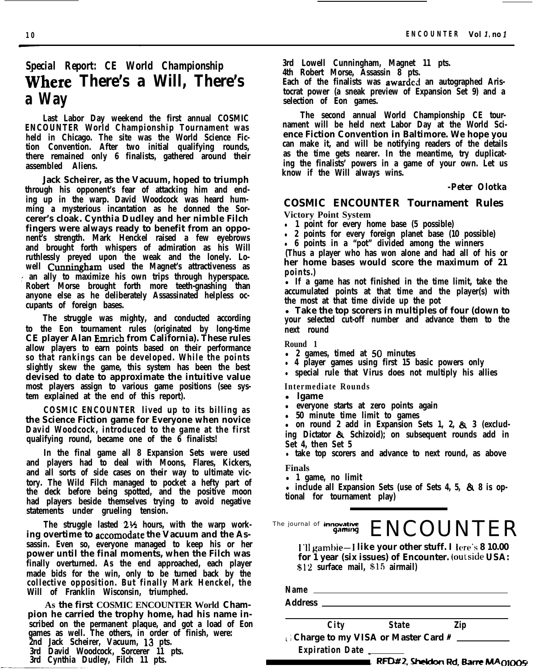### *Special Report: CE World Championship* **Where There's a Will, There's a Way**

**Last Labor Day weekend the first annual COSMIC ENCOUNTER World Championship Tournament was held in Chicago. The site was the World Science Fiction Convention. After two initial qualifying rounds, there remained only 6 finalists, gathered around their assembled Aliens.**

**Jack Scheirer, as the Vacuum, hoped to triumph through his opponent's fear of attacking him and ending up in the warp. David Woodcock was heard humming a mysterious incantation as he donned the Sorcerer's cloak. Cynthia Dudley and her nimble Filch fingers were always ready to benefit from an opponent's strength. Mark Henckel raised a few eyebrows and brought forth whispers of admiration as his Will ruthlessly preyed upon the weak and the lonely. Lowell Ctmningham used the Magnet's attractiveness as , , an ally to maximize his own trips through hyperspace. Robert Morse brought forth more teeth-gnashing than anyone else as he deliberately Assassinated helpless occupants of foreign bases.**

**The struggle was mighty, and conducted according to the Eon tournament rules (originated by long-time CE player Alan Emrich from California). These rules allow players to earn points based on their performance so that rankings can be developed. While the points slightly skew the game, this system has been the best devised to date to approximate the intuitive value most players assign to various game positions (see system explained at the end of this report).**

**COSMIC ENCOUNTER lived up to its billing as the Science Fiction game for Everyone when novice David Woodcock, introduced to the game at the first qualifying round, became one of the 6 finalists!**

**In the final game all 8 Expansion Sets were used and players had to deal with Moons, Flares, Kickers, and all sorts of side cases on their way to ultimate victory. The Wild Filch managed to pocket a hefty part of the deck before being spotted, and the positive moon had players beside themselves trying to avoid negative statements under grueling tension.**

**The struggle lasted 2% hours, with the warp working overtime to accomodate the Vacuum and the Assassin. Even so, everyone managed to keep his or her power until the final moments, when the Filch was finally overturned. As the end approached, each player made bids for the win, only to be turned back by the collective opposition. But finally Mark Henckel, the Will of Franklin Wisconsin, triumphed.**

**As the first COSMIC ENCOUNTER World Champion he carried the trophy home, had his name inscribed on the permanent plaque, and got a load of Eon games as well. The others, in order of finish, were: 2nd Jack Scheirer, Vacuum, 13 pts. 3rd David Woodcock, Sorcerer 11 pts. 3rd Cynthia Dudley, Filch 11 pts.**

**3rd Lowell Cunningham, Magnet 11 pts.**

**4th Robert Morse, Assassin 8 pts.**

**Each of the finalists was awarded an autographed Aristocrat power (a sneak preview of Expansion Set 9) and a selection of Eon games.**

**The second annual World Championship CE tournament will be held next Labor Day at the World Science Fiction Convention in Baltimore. We hope you can make it, and will be notifying readers of the details as the time gets nearer. In the meantime, try duplicating the finalists' powers in a game of your own. Let us know if the Will always wins.**

#### *-Peter Olotka*

### **COSMIC ENCOUNTER Tournament Rules**

**Victory Point System**

<sup>l</sup> **1 point for every home base (5 possible)**

<sup>l</sup> **2 points for every foreign planet base (10 possible)**

<sup>l</sup> **6 points in a "pot" divided among the winners**

**(Thus a player who has won alone and had all of his or her home bases would score the maximum of 21 points.)**

<sup>l</sup>**If a game has not finished in the time limit, take the accumulated points at that time and the player(s) with the most at that time divide up the pot**

<sup>l</sup>**Take the top scorers in multiples of four (down to your selected cut-off number and advance them to the next round**

**Round 1**

- <sup>l</sup>**2 games, timed at 50 minutes**
- <sup>l</sup> **4 player games using first 15 basic powers only**
- **•** special rule that Virus does not multiply his allies

**Intermediate Rounds**

- <sup>l</sup>**lgame**
- <sup>l</sup>**everyone starts at zero points again**
- <sup>l</sup>**50 minute time limit to games**

<sup>l</sup>**on round 2 add in Expansion Sets 1, 2, & 3 (excluding Dictator & Schizoid); on subsequent rounds add in Set 4, then Set 5**

**take top scorers and advance to next round, as above Finals**

<sup>l</sup>**1 game, no limit**

• include all Expansion Sets (use of Sets 4, 5,  $\&$  8 is op**tional for tournament play)**

The journal of *innovative* **ENCOUNTER** 

**I'll gambie-I like your other stuff. I Iere's 8 10.00 for 1 year (six issues) of Encounter. (outside USA: \$12 surface mail, \$15 airmail)**

| Name<br><b>Address</b> | <u> 1989 - Alexandr Store Books, amerikansk politiker (d. 1989)</u> | <u> 1989 - Jan Stein Harry Harry Harry Harry Harry Harry Harry Harry Harry Harry Harry Harry Harry Harry Harry Harry Harry Harry Harry Harry Harry Harry Harry Harry Harry Harry Harry Harry Harry Harry Harry Harry Harry Harry</u> |     |  |
|------------------------|---------------------------------------------------------------------|--------------------------------------------------------------------------------------------------------------------------------------------------------------------------------------------------------------------------------------|-----|--|
|                        | City                                                                | <b>State</b>                                                                                                                                                                                                                         | Zip |  |
|                        |                                                                     |                                                                                                                                                                                                                                      |     |  |
|                        | Expiration Date                                                     |                                                                                                                                                                                                                                      |     |  |

RFD#2, Sheldon Rd, Barre MA  $01005$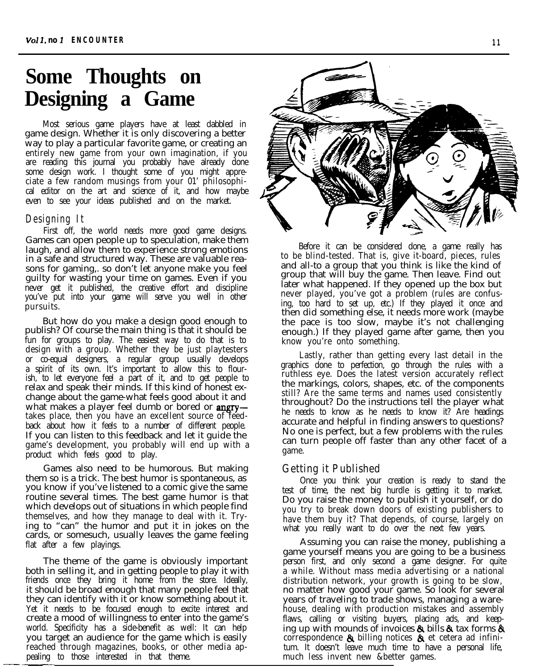### **Some Thoughts on Designing a Game**

Most serious game players have at least dabbled in game design. Whether it is only discovering a better way to play a particular favorite game, or creating an entirely new game from your own imagination, if you are reading this journal you probably have already done some design work. I thought some of you might appreciate a few random musings from your 01' philosophical editor on the art and science of it, and how maybe even to see your ideas published and on the market.

### **Designing It**

First off, the world needs more good game designs. Games can open people up to speculation, make them laugh, and allow them to experience strong emotions in a safe and structured way. These are valuable reasons for gaming,. so don't let anyone make you feel guilty for wasting your time on games. Even if you never get it published, the creative effort and discipline you've put into your game will serve you well in other pursuits.

But how do you make a design good enough to publish? Of course the main thing is that it should be fun for groups to play. The easiest way to do that is to design with a group. Whether they be just playtesters or co-equal designers, a regular group usually develops a spirit of its own. It's important to allow this to flourish, to let everyone feel a part of it, and to get people to relax and speak their minds. If this kind of honest exchange about the game-what feels good about it and what makes a player feel dumb or bored or **angry** takes place, then you have an excellent source of feedback about how it feels to a number of different people. If you can listen to this feedback and let it guide the game's development, you probably will end up with a product which feels good to play.

Games also need to be humorous. But making them so is a trick. The best humor is spontaneous, as you know if you've listened to a comic give the same routine several times. The best game humor is that which develops out of situations in which people find themselves, and how they manage to deal with it. Trying to "can" the humor and put it in jokes on the cards, or somesuch, usually leaves the game feeling flat after a few playings.

The theme of the game is obviously important both in selling it, and in getting people to play it with friends once they bring it home from the store. Ideally, it should be broad enough that many people feel that they can identify with it or know something about it. Yet it needs to be focused enough to excite interest and create a mood of willingness to enter into the game's world. Specificity has a side-benefit as well: It can help you target an audience for the game which is easily reached through magazines, books, or other media appealing to those interested in that theme.



Before it can be considered done, a game really has to be blind-tested. That is, give it-board, pieces, rules and all-to a group that you think is like the kind of group that will buy the game. Then leave. Find out later what happened. If they opened up the box but never played, you've got a problem (rules are confusing, too hard to set up, etc.) If they played it once and then did something else, it needs more work (maybe the pace is too slow, maybe it's not challenging enough.) If they played game after game, then you know you're onto something.

Lastly, rather than getting every last detail in the graphics done to perfection, go through the rules with a ruthless eye. Does the latest version accurately reflect the markings, colors, shapes, etc. of the components still? Are the same terms and names used consistently throughout? Do the instructions tell the player what he needs to know as he needs to know it? Are headings accurate and helpful in finding answers to questions? No one is perfect, but a few problems with the rules can turn people off faster than any other facet of a game.

### **Getting it Published**

Once you think your creation is ready to stand the test of time, the next big hurdle is getting it to market. Do you raise the money to publish it yourself, or do you try to break down doors of existing publishers to have them buy it? That depends, of course, largely on what you really want to do over the next few years.

Assuming you can raise the money, publishing a game yourself means you are going to be a business person first, and only second a game designer. For quite a while. Without mass media advertising or a national distribution network, your growth is going to be slow, no matter how good your game. So look for several years of traveling to trade shows, managing a warehouse, dealing with production mistakes and assembly flaws, calling or visiting buyers, placing ads, and keeping up with mounds of invoices  $\&$  bills  $\&$  tax forms  $\&$ correspondence & billing notices & et cetera ad infinitum. It doesn't leave much time to have a personal life, much less invent new &better games.